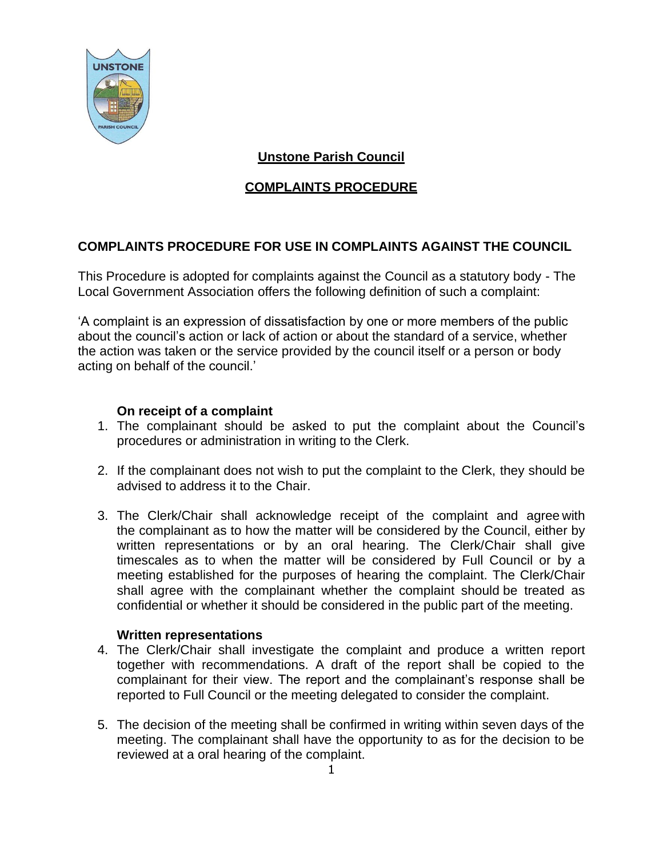

# **Unstone Parish Council**

# **COMPLAINTS PROCEDURE**

## **COMPLAINTS PROCEDURE FOR USE IN COMPLAINTS AGAINST THE COUNCIL**

This Procedure is adopted for complaints against the Council as a statutory body - The Local Government Association offers the following definition of such a complaint:

'A complaint is an expression of dissatisfaction by one or more members of the public about the council's action or lack of action or about the standard of a service, whether the action was taken or the service provided by the council itself or a person or body acting on behalf of the council.'

### **On receipt of a complaint**

- 1. The complainant should be asked to put the complaint about the Council's procedures or administration in writing to the Clerk.
- 2. If the complainant does not wish to put the complaint to the Clerk, they should be advised to address it to the Chair.
- 3. The Clerk/Chair shall acknowledge receipt of the complaint and agree with the complainant as to how the matter will be considered by the Council, either by written representations or by an oral hearing. The Clerk/Chair shall give timescales as to when the matter will be considered by Full Council or by a meeting established for the purposes of hearing the complaint. The Clerk/Chair shall agree with the complainant whether the complaint should be treated as confidential or whether it should be considered in the public part of the meeting.

#### **Written representations**

- 4. The Clerk/Chair shall investigate the complaint and produce a written report together with recommendations. A draft of the report shall be copied to the complainant for their view. The report and the complainant's response shall be reported to Full Council or the meeting delegated to consider the complaint.
- 5. The decision of the meeting shall be confirmed in writing within seven days of the meeting. The complainant shall have the opportunity to as for the decision to be reviewed at a oral hearing of the complaint.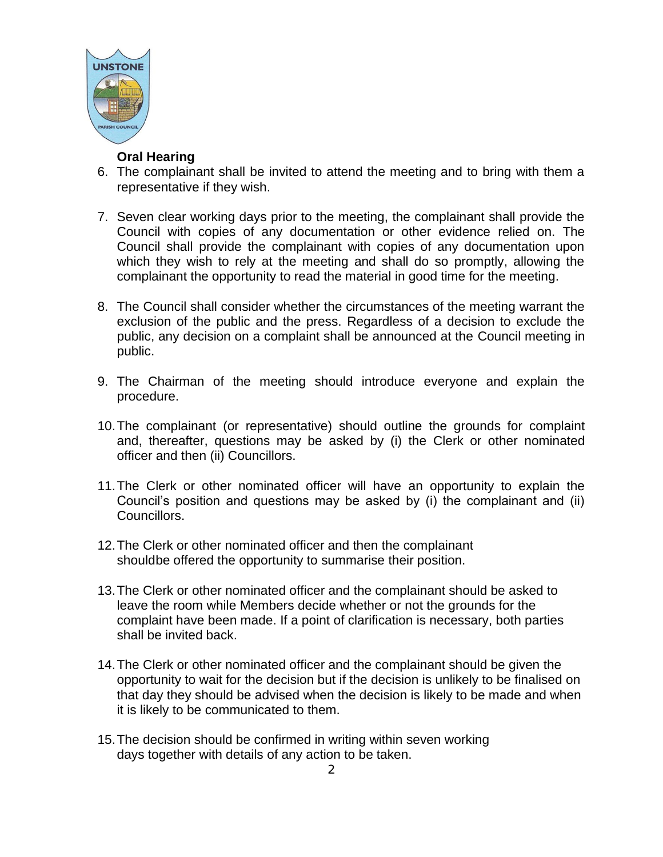

## **Oral Hearing**

- 6. The complainant shall be invited to attend the meeting and to bring with them a representative if they wish.
- 7. Seven clear working days prior to the meeting, the complainant shall provide the Council with copies of any documentation or other evidence relied on. The Council shall provide the complainant with copies of any documentation upon which they wish to rely at the meeting and shall do so promptly, allowing the complainant the opportunity to read the material in good time for the meeting.
- 8. The Council shall consider whether the circumstances of the meeting warrant the exclusion of the public and the press. Regardless of a decision to exclude the public, any decision on a complaint shall be announced at the Council meeting in public.
- 9. The Chairman of the meeting should introduce everyone and explain the procedure.
- 10.The complainant (or representative) should outline the grounds for complaint and, thereafter, questions may be asked by (i) the Clerk or other nominated officer and then (ii) Councillors.
- 11.The Clerk or other nominated officer will have an opportunity to explain the Council's position and questions may be asked by (i) the complainant and (ii) Councillors.
- 12.The Clerk or other nominated officer and then the complainant shouldbe offered the opportunity to summarise their position.
- 13.The Clerk or other nominated officer and the complainant should be asked to leave the room while Members decide whether or not the grounds for the complaint have been made. If a point of clarification is necessary, both parties shall be invited back.
- 14.The Clerk or other nominated officer and the complainant should be given the opportunity to wait for the decision but if the decision is unlikely to be finalised on that day they should be advised when the decision is likely to be made and when it is likely to be communicated to them.
- 15.The decision should be confirmed in writing within seven working days together with details of any action to be taken.